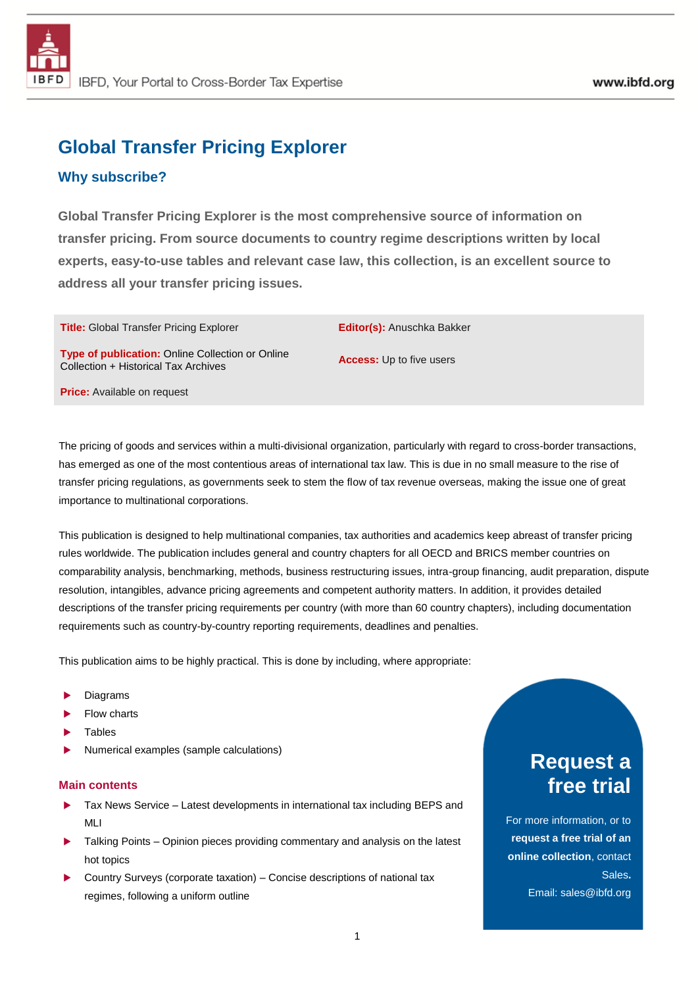# **Global Transfer Pricing Explorer**

## **Why subscribe?**

**Global Transfer Pricing Explorer is the most comprehensive source of information on transfer pricing. From source documents to country regime descriptions written by local experts, easy-to-use tables and relevant case law, this collection, is an excellent source to address all your transfer pricing issues.**

**Title:** Global Transfer Pricing Explorer **Editor(s):** Anuschka Bakker

**Type of publication:** Online Collection or Online **Type of publication:** Online Collection of Online<br>Collection + Historical Tax Archives

**Price:** Available on request

The pricing of goods and services within a multi-divisional organization, particularly with regard to cross-border transactions, has emerged as one of the most contentious areas of international tax law. This is due in no small measure to the rise of transfer pricing regulations, as governments seek to stem the flow of tax revenue overseas, making the issue one of great importance to multinational corporations.

This publication is designed to help multinational companies, tax authorities and academics keep abreast of transfer pricing rules worldwide. The publication includes general and country chapters for all OECD and BRICS member countries on comparability analysis, benchmarking, methods, business restructuring issues, intra-group financing, audit preparation, dispute resolution, intangibles, advance pricing agreements and competent authority matters. In addition, it provides detailed descriptions of the transfer pricing requirements per country (with more than 60 country chapters), including documentation requirements such as country-by-country reporting requirements, deadlines and penalties.

This publication aims to be highly practical. This is done by including, where appropriate:

- Diagrams
- Flow charts
- **Tables**
- Numerical examples (sample calculations)

#### **Main contents**

- Tax News Service Latest developments in international tax including BEPS and MLI
- Talking Points Opinion pieces providing commentary and analysis on the latest hot topics
- Country Surveys (corporate taxation) Concise descriptions of national tax regimes, following a uniform outline

# **Request a free trial**

For more information, or to **request a free trial of an online collection**, contact Sales**.** Email: sales@ibfd.org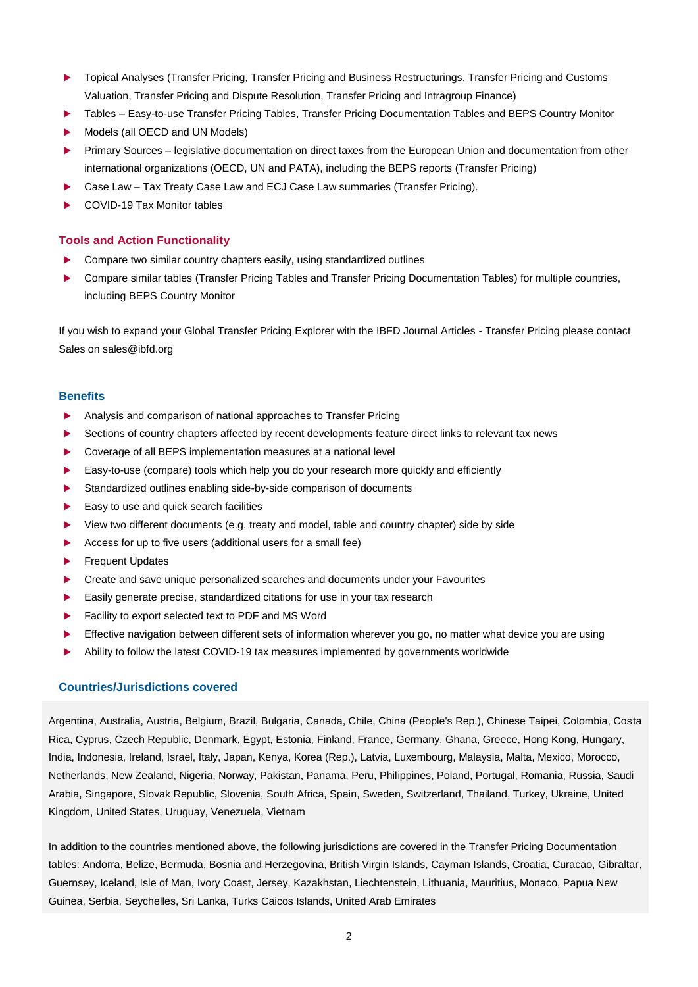- **Topical Analyses (Transfer Pricing, Transfer Pricing and Business Restructurings, Transfer Pricing and Customs** Valuation, Transfer Pricing and Dispute Resolution, Transfer Pricing and Intragroup Finance)
- Tables Easy-to-use Transfer Pricing Tables, Transfer Pricing Documentation Tables and BEPS Country Monitor
- Models (all OECD and UN Models)
- Primary Sources legislative documentation on direct taxes from the European Union and documentation from other international organizations (OECD, UN and PATA), including the BEPS reports (Transfer Pricing)
- Case Law Tax Treaty Case Law and ECJ Case Law summaries (Transfer Pricing).
- ▶ COVID-19 Tax Monitor tables

### **Tools and Action Functionality**

- Compare two similar country chapters easily, using standardized outlines
- Compare similar tables (Transfer Pricing Tables and Transfer Pricing Documentation Tables) for multiple countries, including BEPS Country Monitor

If you wish to expand your Global Transfer Pricing Explorer with the IBFD Journal Articles - Transfer Pricing please contact Sales on sales@ibfd.org

#### **Benefits**

- Analysis and comparison of national approaches to Transfer Pricing
- Sections of country chapters affected by recent developments feature direct links to relevant tax news
- Coverage of all BEPS implementation measures at a national level
- Easy-to-use (compare) tools which help you do your research more quickly and efficiently
- Standardized outlines enabling side-by-side comparison of documents
- $\blacktriangleright$  Easy to use and quick search facilities
- View two different documents (e.g. treaty and model, table and country chapter) side by side
- Access for up to five users (additional users for a small fee)
- Frequent Updates
- Create and save unique personalized searches and documents under your Favourites
- Easily generate precise, standardized citations for use in your tax research
- Facility to export selected text to PDF and MS Word
- Effective navigation between different sets of information wherever you go, no matter what device you are using
- Ability to follow the latest COVID-19 tax measures implemented by governments worldwide

### **Countries/Jurisdictions covered**

Argentina, Australia, Austria, Belgium, Brazil, Bulgaria, Canada, Chile, China (People's Rep.), Chinese Taipei, Colombia, Costa Rica, Cyprus, Czech Republic, Denmark, Egypt, Estonia, Finland, France, Germany, Ghana, Greece, Hong Kong, Hungary, India, Indonesia, Ireland, Israel, Italy, Japan, Kenya, Korea (Rep.), Latvia, Luxembourg, Malaysia, Malta, Mexico, Morocco, Netherlands, New Zealand, Nigeria, Norway, Pakistan, Panama, Peru, Philippines, Poland, Portugal, Romania, Russia, Saudi Arabia, Singapore, Slovak Republic, Slovenia, South Africa, Spain, Sweden, Switzerland, Thailand, Turkey, Ukraine, United Kingdom, United States, Uruguay, Venezuela, Vietnam

In addition to the countries mentioned above, the following jurisdictions are covered in the Transfer Pricing Documentation tables: Andorra, Belize, Bermuda, Bosnia and Herzegovina, British Virgin Islands, Cayman Islands, Croatia, Curacao, Gibraltar, Guernsey, Iceland, Isle of Man, Ivory Coast, Jersey, Kazakhstan, Liechtenstein, Lithuania, Mauritius, Monaco, Papua New Guinea, Serbia, Seychelles, Sri Lanka, Turks Caicos Islands, United Arab Emirates